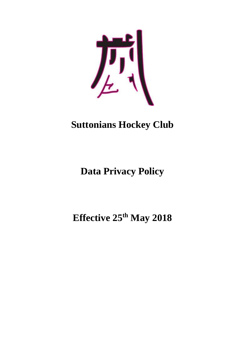

# **Suttonians Hockey Club**

**Data Privacy Policy**

**Effective 25th May 2018**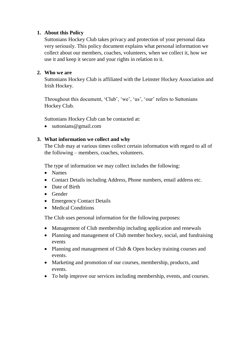## **1. About this Policy**

Suttonians Hockey Club takes privacy and protection of your personal data very seriously. This policy document explains what personal information we collect about our members, coaches, volunteers, when we collect it, how we use it and keep it secure and your rights in relation to it.

## **2. Who we are**

Suttonians Hockey Club is affiliated with the Leinster Hockey Association and Irish Hockey.

Throughout this document, 'Club', 'we', 'us', 'our' refers to Suttonians Hockey Club.

Suttonians Hockey Club can be contacted at:

• [suttonians@gmail.com](mailto:suttonians@gmail.com)

## **3. What information we collect and why**

The Club may at various times collect certain information with regard to all of the following – members, coaches, volunteers.

The type of information we may collect includes the following:

- Names
- Contact Details including Address, Phone numbers, email address etc.
- Date of Birth
- Gender
- Emergency Contact Details
- Medical Conditions

The Club uses personal information for the following purposes:

- Management of Club membership including application and renewals
- Planning and management of Club member hockey, social, and fundraising events
- Planning and management of Club & Open hockey training courses and events.
- Marketing and promotion of our courses, membership, products, and events.
- To help improve our services including membership, events, and courses.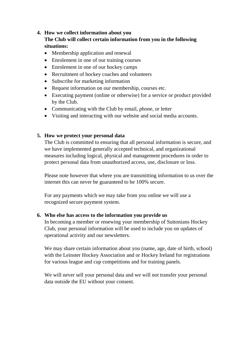#### **4. How we collect information about you**

## **The Club will collect certain information from you in the following situations:**

- Membership application and renewal
- Enrolement in one of our training courses
- Enrolement in one of our hockey camps
- Recruitment of hockey coaches and volunteers
- Subscribe for marketing information
- Request information on our membership, courses etc.
- Executing payment (online or otherwise) for a service or product provided by the Club.
- Communicating with the Club by email, phone, or letter
- Visiting and interacting with our website and social media accounts.

## **5. How we protect your personal data**

The Club is committed to ensuring that all personal information is secure, and we have implemented generally accepted technical, and organizational measures including logical, physical and management procedures in order to protect personal data from unauthorized access, use, disclosure or loss.

Please note however that where you are transmitting information to us over the internet this can never be guaranteed to be 100% secure.

For any payments which we may take from you online we will use a recognized secure payment system.

#### **6. Who else has access to the information you provide us**

In becoming a member or renewing your membership of Suttonians Hockey Club, your personal information will be used to include you on updates of operational activity and our newsletters.

We may share certain information about you (name, age, date of birth, school) with the Leinster Hockey Association and or Hockey Ireland for registrations for various league and cup competitions and for training panels.

We will never sell your personal data and we will not transfer your personal data outside the EU without your consent.